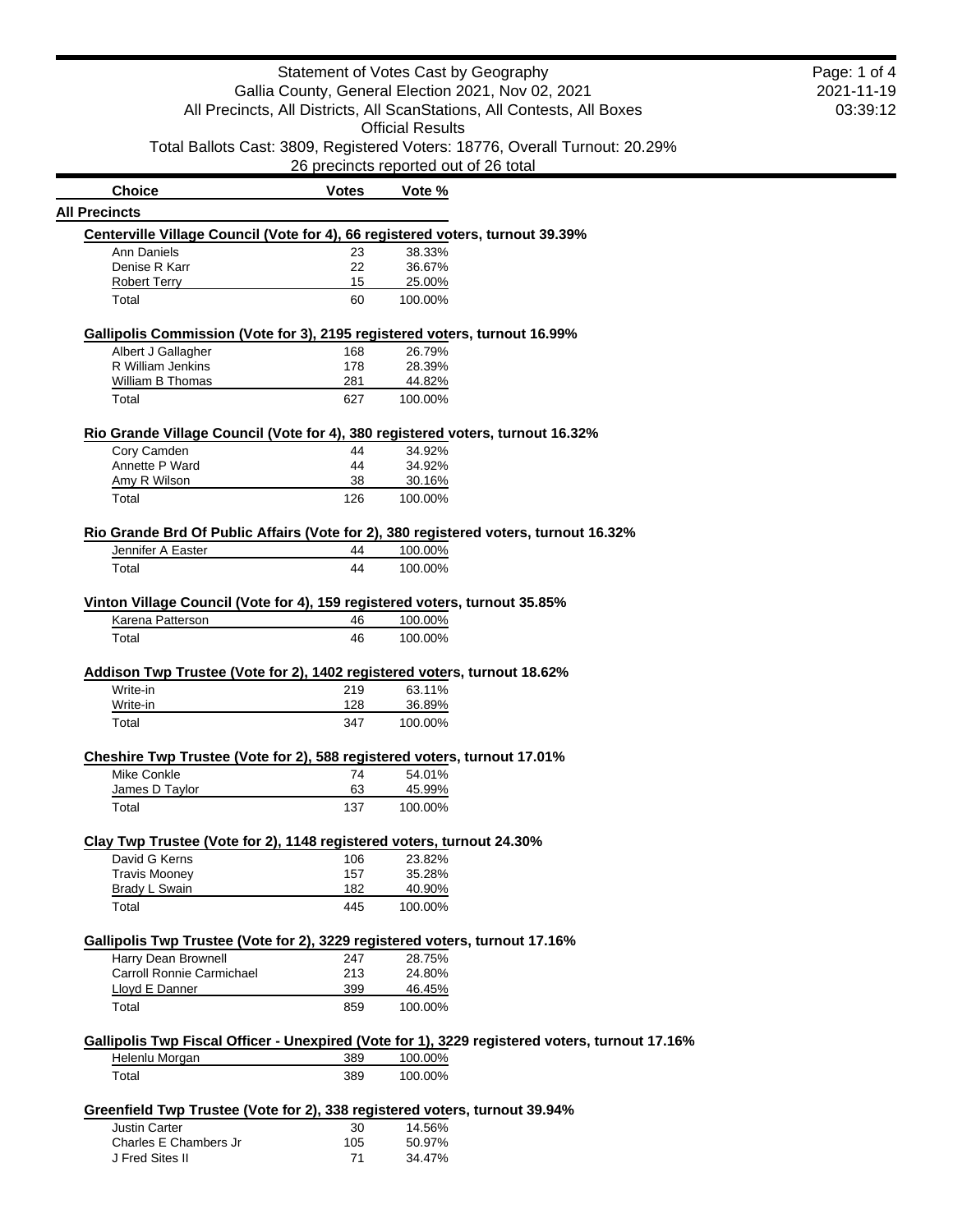|                                                                                                | Statement of Votes Cast by Geography  |                         |                                                                                                |
|------------------------------------------------------------------------------------------------|---------------------------------------|-------------------------|------------------------------------------------------------------------------------------------|
|                                                                                                |                                       |                         | Gallia County, General Election 2021, Nov 02, 2021                                             |
|                                                                                                |                                       |                         | All Precincts, All Districts, All ScanStations, All Contests, All Boxes                        |
|                                                                                                |                                       | <b>Official Results</b> |                                                                                                |
|                                                                                                |                                       |                         |                                                                                                |
|                                                                                                |                                       |                         | Total Ballots Cast: 3809, Registered Voters: 18776, Overall Turnout: 20.29%                    |
|                                                                                                | 26 precincts reported out of 26 total |                         |                                                                                                |
| <b>Choice</b>                                                                                  | <b>Votes</b>                          | Vote %                  |                                                                                                |
| <b>All Precincts</b>                                                                           |                                       |                         |                                                                                                |
| Centerville Village Council (Vote for 4), 66 registered voters, turnout 39.39%                 |                                       |                         |                                                                                                |
| Ann Daniels                                                                                    | 23                                    | 38.33%                  |                                                                                                |
| Denise R Karr                                                                                  | 22                                    | 36.67%                  |                                                                                                |
| <b>Robert Terry</b>                                                                            | 15                                    | 25.00%                  |                                                                                                |
| Total                                                                                          | 60                                    | 100.00%                 |                                                                                                |
| Gallipolis Commission (Vote for 3), 2195 registered voters, turnout 16.99%                     |                                       |                         |                                                                                                |
| Albert J Gallagher                                                                             | 168                                   | 26.79%                  |                                                                                                |
| R William Jenkins                                                                              | 178                                   | 28.39%                  |                                                                                                |
| William B Thomas                                                                               | 281                                   | 44.82%                  |                                                                                                |
| Total                                                                                          | 627                                   | 100.00%                 |                                                                                                |
|                                                                                                |                                       |                         |                                                                                                |
| Rio Grande Village Council (Vote for 4), 380 registered voters, turnout 16.32%                 |                                       |                         |                                                                                                |
| Cory Camden                                                                                    | 44                                    | 34.92%                  |                                                                                                |
| Annette P Ward                                                                                 | 44<br>38                              | 34.92%                  |                                                                                                |
| Amy R Wilson                                                                                   |                                       | 30.16%                  |                                                                                                |
| Total                                                                                          | 126                                   | 100.00%                 |                                                                                                |
| Rio Grande Brd Of Public Affairs (Vote for 2), 380 registered voters, turnout 16.32%           |                                       |                         |                                                                                                |
| Jennifer A Easter                                                                              | 44                                    | 100.00%                 |                                                                                                |
| Total                                                                                          | 44                                    | 100.00%                 |                                                                                                |
| Vinton Village Council (Vote for 4), 159 registered voters, turnout 35.85%<br>Karena Patterson |                                       |                         |                                                                                                |
|                                                                                                | 46                                    | 100.00%                 |                                                                                                |
| Total                                                                                          | 46                                    | 100.00%                 |                                                                                                |
| Addison Twp Trustee (Vote for 2), 1402 registered voters, turnout 18.62%                       |                                       |                         |                                                                                                |
| Write-in                                                                                       | 219                                   | 63.11%                  |                                                                                                |
| Write-in                                                                                       | 128                                   | 36.89%                  |                                                                                                |
| Total                                                                                          | 347                                   | 100.00%                 |                                                                                                |
|                                                                                                |                                       |                         |                                                                                                |
| Cheshire Twp Trustee (Vote for 2), 588 registered voters, turnout 17.01%                       |                                       |                         |                                                                                                |
| Mike Conkle                                                                                    | 74                                    | 54.01%                  |                                                                                                |
| James D Taylor                                                                                 | 63                                    | 45.99%                  |                                                                                                |
| Total                                                                                          | 137                                   | 100.00%                 |                                                                                                |
| Clay Twp Trustee (Vote for 2), 1148 registered voters, turnout 24.30%                          |                                       |                         |                                                                                                |
| David G Kerns                                                                                  | 106                                   | 23.82%                  |                                                                                                |
| <b>Travis Mooney</b>                                                                           | 157                                   | 35.28%                  |                                                                                                |
| <b>Brady L Swain</b>                                                                           | 182                                   | 40.90%                  |                                                                                                |
| Total                                                                                          | 445                                   | 100.00%                 |                                                                                                |
|                                                                                                |                                       |                         |                                                                                                |
| Gallipolis Twp Trustee (Vote for 2), 3229 registered voters, turnout 17.16%                    |                                       |                         |                                                                                                |
| Harry Dean Brownell                                                                            | 247                                   | 28.75%                  |                                                                                                |
| Carroll Ronnie Carmichael                                                                      | 213                                   | 24.80%                  |                                                                                                |
| Lloyd E Danner                                                                                 | 399                                   | 46.45%                  |                                                                                                |
| Total                                                                                          | 859                                   | 100.00%                 |                                                                                                |
|                                                                                                |                                       |                         | Gallipolis Twp Fiscal Officer - Unexpired (Vote for 1), 3229 registered voters, turnout 17.16% |
| Helenlu Morgan                                                                                 | 389                                   | 100.00%                 |                                                                                                |
| Total                                                                                          | 389                                   | 100.00%                 |                                                                                                |
|                                                                                                |                                       |                         |                                                                                                |
| Greenfield Twp Trustee (Vote for 2), 338 registered voters, turnout 39.94%                     |                                       |                         |                                                                                                |
| <b>Justin Carter</b>                                                                           | 30                                    | 14.56%                  |                                                                                                |
| Charles E Chambers Jr                                                                          | 105                                   | 50.97%                  |                                                                                                |
| J Fred Sites II                                                                                | 71                                    | 34.47%                  |                                                                                                |

2021-11-19 03:39:12

Page: 1 of 4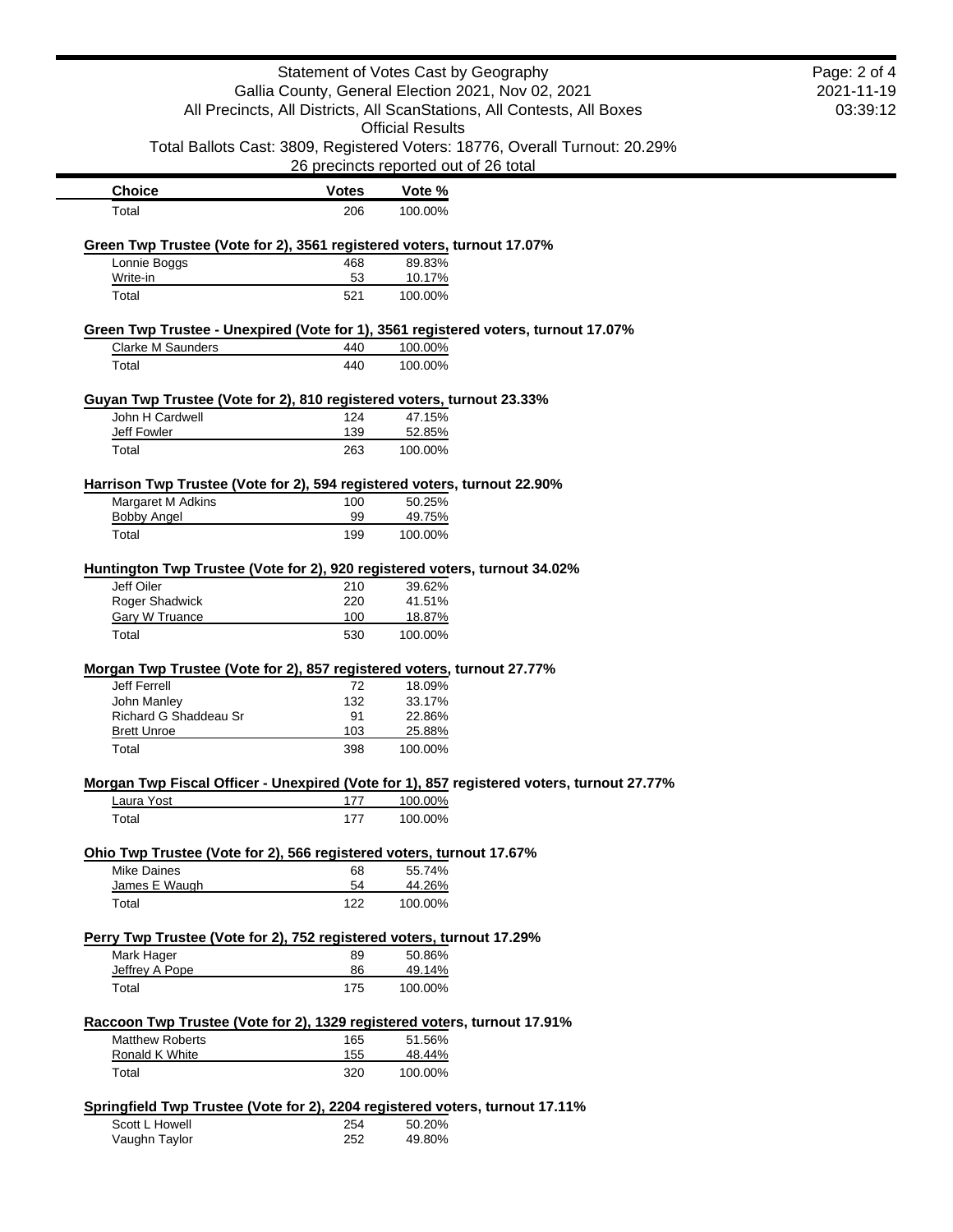| Statement of Votes Cast by Geography                                                | Page: 2 of 4<br>2021-11-19 |                                                                                                                      |  |
|-------------------------------------------------------------------------------------|----------------------------|----------------------------------------------------------------------------------------------------------------------|--|
| Gallia County, General Election 2021, Nov 02, 2021                                  | 03:39:12                   |                                                                                                                      |  |
|                                                                                     |                            | All Precincts, All Districts, All ScanStations, All Contests, All Boxes<br><b>Official Results</b>                   |  |
|                                                                                     |                            |                                                                                                                      |  |
|                                                                                     |                            | Total Ballots Cast: 3809, Registered Voters: 18776, Overall Turnout: 20.29%<br>26 precincts reported out of 26 total |  |
| <b>Choice</b>                                                                       | <b>Votes</b>               | Vote %                                                                                                               |  |
| Total                                                                               | 206                        | 100.00%                                                                                                              |  |
|                                                                                     |                            |                                                                                                                      |  |
| Green Twp Trustee (Vote for 2), 3561 registered voters, turnout 17.07%              |                            |                                                                                                                      |  |
| Lonnie Boggs                                                                        | 468                        | 89.83%                                                                                                               |  |
| Write-in<br>Total                                                                   | 53<br>521                  | 10.17%<br>100.00%                                                                                                    |  |
|                                                                                     |                            |                                                                                                                      |  |
|                                                                                     |                            | Green Twp Trustee - Unexpired (Vote for 1), 3561 registered voters, turnout 17.07%                                   |  |
| <b>Clarke M Saunders</b>                                                            | 440                        | 100.00%                                                                                                              |  |
| Total                                                                               | 440                        | 100.00%                                                                                                              |  |
| Guyan Twp Trustee (Vote for 2), 810 registered voters, turnout 23.33%               |                            |                                                                                                                      |  |
| John H Cardwell                                                                     | 124                        | 47.15%                                                                                                               |  |
| Jeff Fowler                                                                         | 139                        | 52.85%                                                                                                               |  |
| Total                                                                               | 263                        | 100.00%                                                                                                              |  |
| Harrison Twp Trustee (Vote for 2), 594 registered voters, turnout 22.90%            |                            |                                                                                                                      |  |
| Margaret M Adkins                                                                   | 100                        | 50.25%                                                                                                               |  |
| <b>Bobby Angel</b>                                                                  | 99                         | 49.75%                                                                                                               |  |
| Total                                                                               | 199                        | 100.00%                                                                                                              |  |
| Huntington Twp Trustee (Vote for 2), 920 registered voters, turnout 34.02%          |                            |                                                                                                                      |  |
| Jeff Oiler                                                                          | 210                        | 39.62%                                                                                                               |  |
| Roger Shadwick                                                                      | 220                        | 41.51%                                                                                                               |  |
| <b>Gary W Truance</b>                                                               | 100                        | 18.87%                                                                                                               |  |
| Total                                                                               | 530                        | 100.00%                                                                                                              |  |
| Morgan Twp Trustee (Vote for 2), 857 registered voters, turnout 27.77%              |                            |                                                                                                                      |  |
| Jeff Ferrell                                                                        | 72                         | 18.09%                                                                                                               |  |
| John Manley                                                                         | 132                        | 33.17%                                                                                                               |  |
| <b>Richard G Shaddeau Sr</b>                                                        | 91                         | 22.86%                                                                                                               |  |
| <b>Brett Unroe</b>                                                                  | 103                        | 25.88%                                                                                                               |  |
| Total                                                                               | 398                        | 100.00%                                                                                                              |  |
|                                                                                     |                            | Morgan Twp Fiscal Officer - Unexpired (Vote for 1), 857 registered voters, turnout 27.77%                            |  |
| Laura Yost                                                                          | 177                        | 100.00%                                                                                                              |  |
| Total                                                                               | 177                        | 100.00%                                                                                                              |  |
|                                                                                     |                            |                                                                                                                      |  |
| Ohio Twp Trustee (Vote for 2), 566 registered voters, turnout 17.67%<br>Mike Daines | 68                         | 55.74%                                                                                                               |  |
| James E Waugh                                                                       | 54                         | 44.26%                                                                                                               |  |
| Total                                                                               | 122                        | 100.00%                                                                                                              |  |
|                                                                                     |                            |                                                                                                                      |  |
| Perry Twp Trustee (Vote for 2), 752 registered voters, turnout 17.29%<br>Mark Hager |                            | 50.86%                                                                                                               |  |
| Jeffrey A Pope                                                                      | 89<br>86                   | 49.14%                                                                                                               |  |
| Total                                                                               | 175                        | 100.00%                                                                                                              |  |
|                                                                                     |                            |                                                                                                                      |  |
| Raccoon Twp Trustee (Vote for 2), 1329 registered voters, turnout 17.91%            |                            |                                                                                                                      |  |
| <b>Matthew Roberts</b><br>Ronald K White                                            | 165<br>155                 | 51.56%<br>48.44%                                                                                                     |  |
| Total                                                                               | 320                        | 100.00%                                                                                                              |  |
|                                                                                     |                            |                                                                                                                      |  |
|                                                                                     |                            | Springfield Twp Trustee (Vote for 2), 2204 registered voters, turnout 17.11%                                         |  |
| Scott L Howell                                                                      | 254                        | 50.20%                                                                                                               |  |
| Vaughn Taylor                                                                       | 252                        | 49.80%                                                                                                               |  |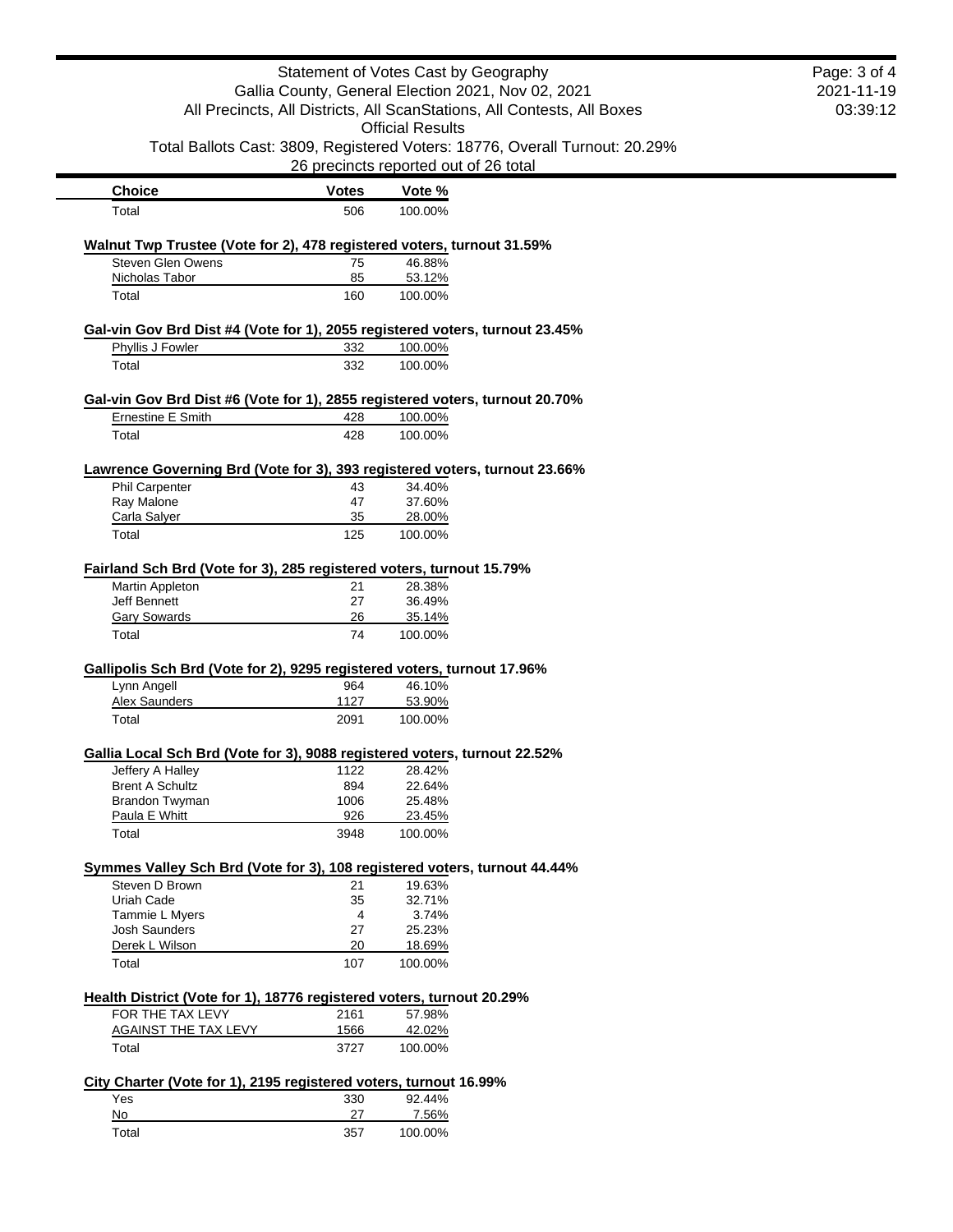| Statement of Votes Cast by Geography<br>Gallia County, General Election 2021, Nov 02, 2021<br>All Precincts, All Districts, All ScanStations, All Contests, All Boxes | Page: 3 of 4<br>2021-11-19<br>03:39:12 |                                                                                                                                                 |  |
|-----------------------------------------------------------------------------------------------------------------------------------------------------------------------|----------------------------------------|-------------------------------------------------------------------------------------------------------------------------------------------------|--|
|                                                                                                                                                                       |                                        | <b>Official Results</b><br>Total Ballots Cast: 3809, Registered Voters: 18776, Overall Turnout: 20.29%<br>26 precincts reported out of 26 total |  |
| <b>Choice</b>                                                                                                                                                         | <b>Votes</b>                           | Vote %                                                                                                                                          |  |
| Total                                                                                                                                                                 | 506                                    | 100.00%                                                                                                                                         |  |
| Walnut Twp Trustee (Vote for 2), 478 registered voters, turnout 31.59%                                                                                                |                                        |                                                                                                                                                 |  |
| Steven Glen Owens                                                                                                                                                     | 75                                     | 46.88%                                                                                                                                          |  |
| Nicholas Tabor<br>Total                                                                                                                                               | 85<br>160                              | 53.12%<br>100.00%                                                                                                                               |  |
|                                                                                                                                                                       |                                        |                                                                                                                                                 |  |
| Gal-vin Gov Brd Dist #4 (Vote for 1), 2055 registered voters, turnout 23.45%<br>Phyllis J Fowler                                                                      | 332                                    | 100.00%                                                                                                                                         |  |
| Total                                                                                                                                                                 | 332                                    | 100.00%                                                                                                                                         |  |
|                                                                                                                                                                       |                                        |                                                                                                                                                 |  |
| Gal-vin Gov Brd Dist #6 (Vote for 1), 2855 registered voters, turnout 20.70%                                                                                          |                                        |                                                                                                                                                 |  |
| <b>Ernestine E Smith</b>                                                                                                                                              | 428                                    | 100.00%                                                                                                                                         |  |
| Total                                                                                                                                                                 | 428                                    | 100.00%                                                                                                                                         |  |
| Lawrence Governing Brd (Vote for 3), 393 registered voters, turnout 23.66%                                                                                            |                                        |                                                                                                                                                 |  |
| Phil Carpenter                                                                                                                                                        | 43                                     | 34.40%                                                                                                                                          |  |
| Ray Malone<br>Carla Salyer                                                                                                                                            | 47<br>35                               | 37.60%<br>28.00%                                                                                                                                |  |
| Total                                                                                                                                                                 | 125                                    | 100.00%                                                                                                                                         |  |
|                                                                                                                                                                       |                                        |                                                                                                                                                 |  |
| Fairland Sch Brd (Vote for 3), 285 registered voters, turnout 15.79%<br>Martin Appleton                                                                               | 21                                     | 28.38%                                                                                                                                          |  |
| <b>Jeff Bennett</b>                                                                                                                                                   | 27                                     | 36.49%                                                                                                                                          |  |
| <b>Gary Sowards</b>                                                                                                                                                   | 26                                     | 35.14%                                                                                                                                          |  |
| Total                                                                                                                                                                 | 74                                     | 100.00%                                                                                                                                         |  |
| Gallipolis Sch Brd (Vote for 2), 9295 registered voters, turnout 17.96%                                                                                               |                                        |                                                                                                                                                 |  |
| Lynn Angell                                                                                                                                                           | 964                                    | 46.10%                                                                                                                                          |  |
| <b>Alex Saunders</b>                                                                                                                                                  | 1127                                   | 53.90%                                                                                                                                          |  |
| Total                                                                                                                                                                 | 2091                                   | 100.00%                                                                                                                                         |  |
| Gallia Local Sch Brd (Vote for 3), 9088 registered voters, turnout 22.52%                                                                                             |                                        |                                                                                                                                                 |  |
| Jeffery A Halley                                                                                                                                                      | 1122                                   | 28.42%                                                                                                                                          |  |
| <b>Brent A Schultz</b>                                                                                                                                                | 894                                    | 22.64%                                                                                                                                          |  |
| Brandon Twyman                                                                                                                                                        | 1006<br>926                            | 25.48%                                                                                                                                          |  |
| Paula E Whitt<br>Total                                                                                                                                                | 3948                                   | 23.45%<br>100.00%                                                                                                                               |  |
|                                                                                                                                                                       |                                        |                                                                                                                                                 |  |
| Symmes Valley Sch Brd (Vote for 3), 108 registered voters, turnout 44.44%                                                                                             |                                        |                                                                                                                                                 |  |
| Steven D Brown<br>Uriah Cade                                                                                                                                          | 21<br>35                               | 19.63%<br>32.71%                                                                                                                                |  |
| Tammie L Myers                                                                                                                                                        | 4                                      | 3.74%                                                                                                                                           |  |
| <b>Josh Saunders</b>                                                                                                                                                  | 27                                     | 25.23%                                                                                                                                          |  |
| Derek L Wilson                                                                                                                                                        | 20                                     | 18.69%                                                                                                                                          |  |
| Total                                                                                                                                                                 | 107                                    | 100.00%                                                                                                                                         |  |
| Health District (Vote for 1), 18776 registered voters, turnout 20.29%                                                                                                 |                                        |                                                                                                                                                 |  |
| FOR THE TAX LEVY                                                                                                                                                      | 2161                                   | 57.98%                                                                                                                                          |  |
| <b>AGAINST THE TAX LEVY</b>                                                                                                                                           | 1566                                   | 42.02%                                                                                                                                          |  |
| Total                                                                                                                                                                 | 3727                                   | 100.00%                                                                                                                                         |  |
| City Charter (Vote for 1), 2195 registered voters, turnout 16.99%                                                                                                     |                                        |                                                                                                                                                 |  |
| Yes                                                                                                                                                                   | 330                                    | 92.44%                                                                                                                                          |  |
| No                                                                                                                                                                    | 27                                     |                                                                                                                                                 |  |
|                                                                                                                                                                       |                                        | 7.56%                                                                                                                                           |  |

03:39:12